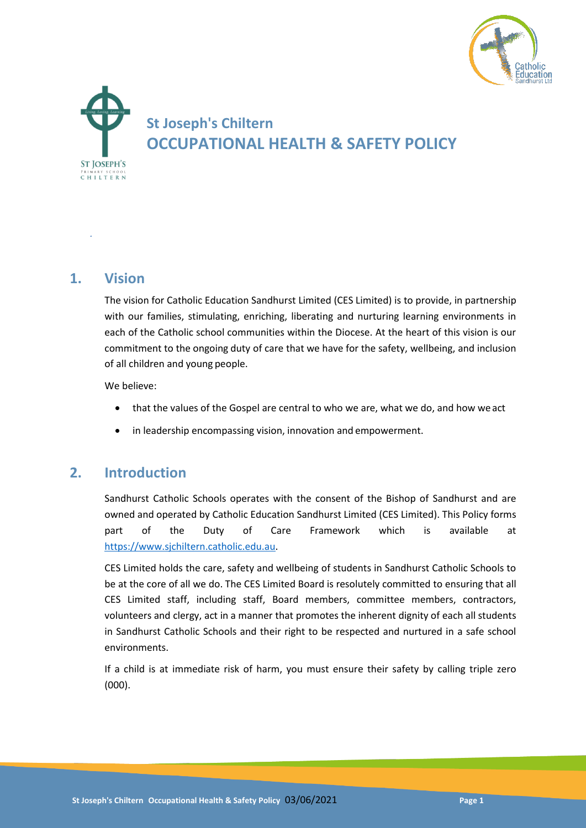



## **1. Vision**

*.*

The vision for Catholic Education Sandhurst Limited (CES Limited) is to provide, in partnership with our families, stimulating, enriching, liberating and nurturing learning environments in each of the Catholic school communities within the Diocese. At the heart of this vision is our commitment to the ongoing duty of care that we have for the safety, wellbeing, and inclusion of all children and young people.

We believe:

- that the values of the Gospel are central to who we are, what we do, and how we act
- in leadership encompassing vision, innovation and empowerment.

## **2. Introduction**

Sandhurst Catholic Schools operates with the consent of the Bishop of Sandhurst and are owned and operated by Catholic Education Sandhurst Limited (CES Limited). This Policy forms part of the Duty of Care Framework which is available at [https://www.sjchiltern.catholic.edu.au.](https://www.sjchiltern.catholic.edu.au/)

CES Limited holds the care, safety and wellbeing of students in Sandhurst Catholic Schools to be at the core of all we do. The CES Limited Board is resolutely committed to ensuring that all CES Limited staff, including staff, Board members, committee members, contractors, volunteers and clergy, act in a manner that promotes the inherent dignity of each all students in Sandhurst Catholic Schools and their right to be respected and nurtured in a safe school environments.

If a child is at immediate risk of harm, you must ensure their safety by calling triple zero (000).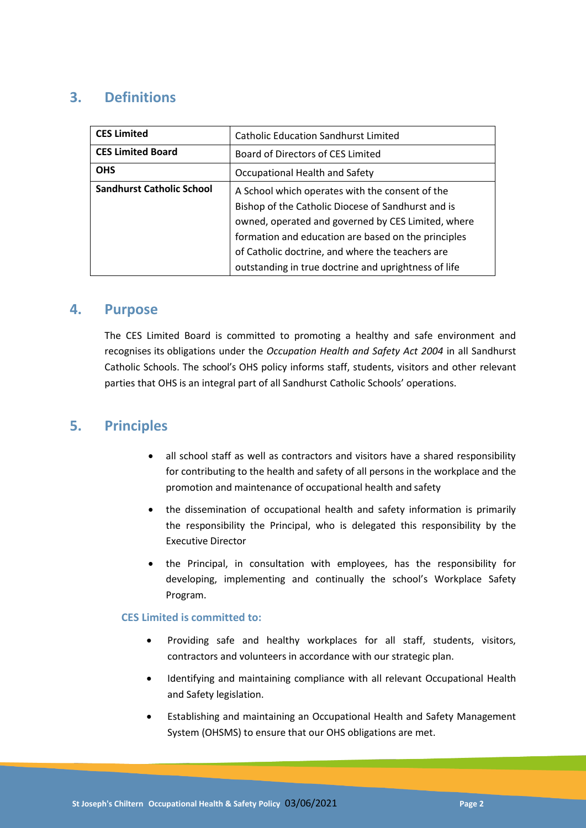# **3. Definitions**

| <b>CES Limited</b>               | <b>Catholic Education Sandhurst Limited</b>          |
|----------------------------------|------------------------------------------------------|
| <b>CES Limited Board</b>         | Board of Directors of CES Limited                    |
| <b>OHS</b>                       | Occupational Health and Safety                       |
| <b>Sandhurst Catholic School</b> | A School which operates with the consent of the      |
|                                  | Bishop of the Catholic Diocese of Sandhurst and is   |
|                                  | owned, operated and governed by CES Limited, where   |
|                                  | formation and education are based on the principles  |
|                                  | of Catholic doctrine, and where the teachers are     |
|                                  | outstanding in true doctrine and uprightness of life |

### **4. Purpose**

The CES Limited Board is committed to promoting a healthy and safe environment and recognises its obligations under the *Occupation Health and Safety Act 2004* in all Sandhurst Catholic Schools. The school's OHS policy informs staff, students, visitors and other relevant parties that OHS is an integral part of all Sandhurst Catholic Schools' operations.

### **5. Principles**

- all school staff as well as contractors and visitors have a shared responsibility for contributing to the health and safety of all persons in the workplace and the promotion and maintenance of occupational health and safety
- the dissemination of occupational health and safety information is primarily the responsibility the Principal, who is delegated this responsibility by the Executive Director
- the Principal, in consultation with employees, has the responsibility for developing, implementing and continually the school's Workplace Safety Program.

#### **CES Limited is committed to:**

- Providing safe and healthy workplaces for all staff, students, visitors, contractors and volunteers in accordance with our strategic plan.
- Identifying and maintaining compliance with all relevant Occupational Health and Safety legislation.
- Establishing and maintaining an Occupational Health and Safety Management System (OHSMS) to ensure that our OHS obligations are met.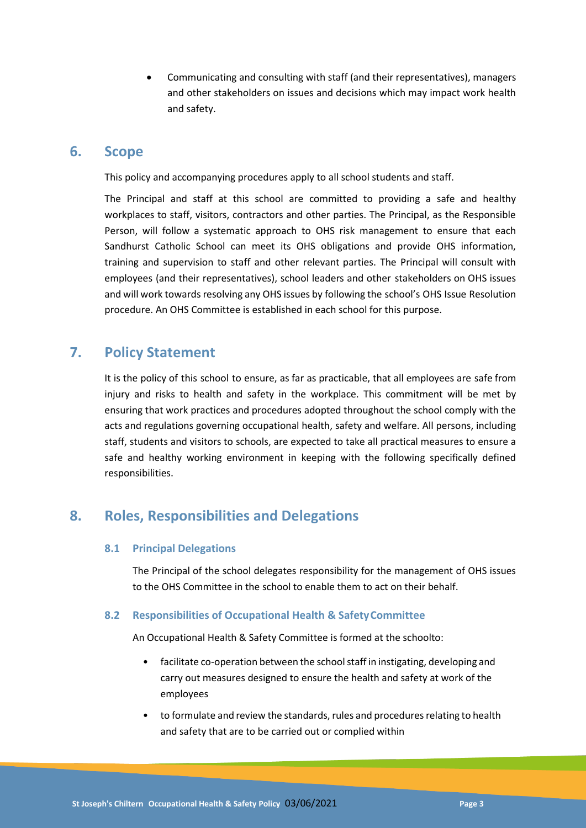Communicating and consulting with staff (and their representatives), managers and other stakeholders on issues and decisions which may impact work health and safety.

### **6. Scope**

This policy and accompanying procedures apply to all school students and staff.

The Principal and staff at this school are committed to providing a safe and healthy workplaces to staff, visitors, contractors and other parties. The Principal, as the Responsible Person, will follow a systematic approach to OHS risk management to ensure that each Sandhurst Catholic School can meet its OHS obligations and provide OHS information, training and supervision to staff and other relevant parties. The Principal will consult with employees (and their representatives), school leaders and other stakeholders on OHS issues and will work towards resolving any OHS issues by following the school's OHS Issue Resolution procedure. An OHS Committee is established in each school for this purpose.

# **7. Policy Statement**

It is the policy of this school to ensure, as far as practicable, that all employees are safe from injury and risks to health and safety in the workplace. This commitment will be met by ensuring that work practices and procedures adopted throughout the school comply with the acts and regulations governing occupational health, safety and welfare. All persons, including staff, students and visitors to schools, are expected to take all practical measures to ensure a safe and healthy working environment in keeping with the following specifically defined responsibilities.

# **8. Roles, Responsibilities and Delegations**

### **8.1 Principal Delegations**

The Principal of the school delegates responsibility for the management of OHS issues to the OHS Committee in the school to enable them to act on their behalf.

### **8.2 Responsibilities of Occupational Health & SafetyCommittee**

An Occupational Health & Safety Committee is formed at the schoolto:

- facilitate co-operation between the school staff in instigating, developing and carry out measures designed to ensure the health and safety at work of the employees
- to formulate and review the standards, rules and procedures relating to health and safety that are to be carried out or complied within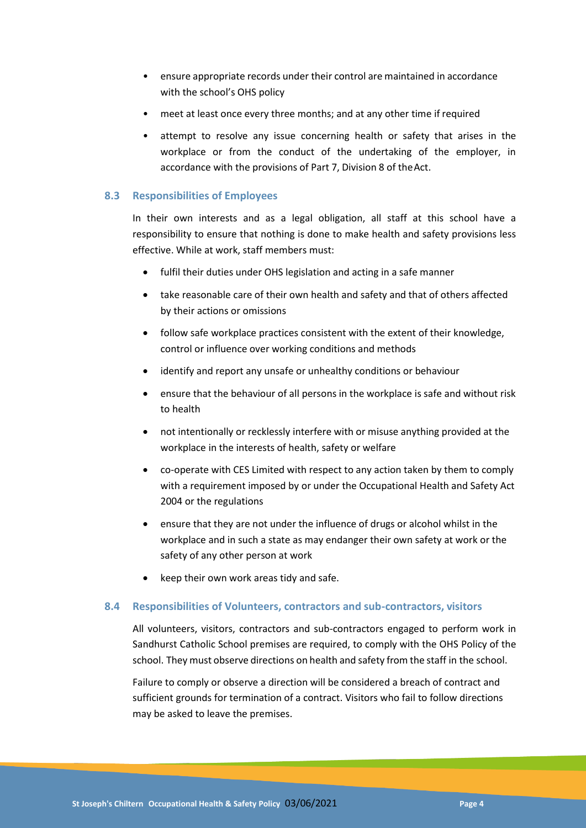- ensure appropriate records under their control are maintained in accordance with the school's OHS policy
- meet at least once every three months: and at any other time if required
- attempt to resolve any issue concerning health or safety that arises in the workplace or from the conduct of the undertaking of the employer, in accordance with the provisions of Part 7, Division 8 of theAct.

#### **8.3 Responsibilities of Employees**

In their own interests and as a legal obligation, all staff at this school have a responsibility to ensure that nothing is done to make health and safety provisions less effective. While at work, staff members must:

- fulfil their duties under OHS legislation and acting in a safe manner
- take reasonable care of their own health and safety and that of others affected by their actions or omissions
- follow safe workplace practices consistent with the extent of their knowledge, control or influence over working conditions and methods
- identify and report any unsafe or unhealthy conditions or behaviour
- ensure that the behaviour of all persons in the workplace is safe and without risk to health
- not intentionally or recklessly interfere with or misuse anything provided at the workplace in the interests of health, safety or welfare
- co-operate with CES Limited with respect to any action taken by them to comply with a requirement imposed by or under the Occupational Health and Safety Act 2004 or the regulations
- ensure that they are not under the influence of drugs or alcohol whilst in the workplace and in such a state as may endanger their own safety at work or the safety of any other person at work
- keep their own work areas tidy and safe.

#### **8.4 Responsibilities of Volunteers, contractors and sub-contractors, visitors**

All volunteers, visitors, contractors and sub-contractors engaged to perform work in Sandhurst Catholic School premises are required, to comply with the OHS Policy of the school. They must observe directions on health and safety from the staff in the school.

Failure to comply or observe a direction will be considered a breach of contract and sufficient grounds for termination of a contract. Visitors who fail to follow directions may be asked to leave the premises.